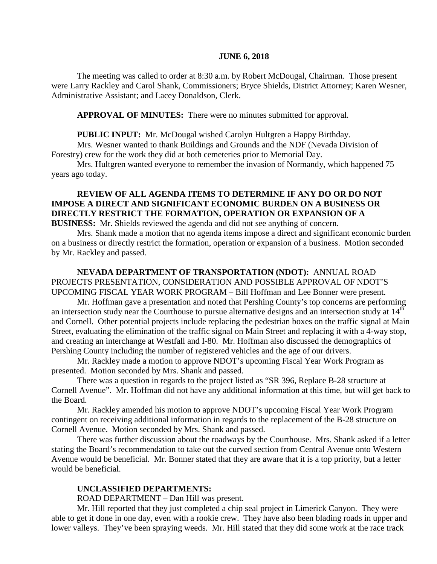#### **JUNE 6, 2018**

The meeting was called to order at 8:30 a.m. by Robert McDougal, Chairman. Those present were Larry Rackley and Carol Shank, Commissioners; Bryce Shields, District Attorney; Karen Wesner, Administrative Assistant; and Lacey Donaldson, Clerk.

**APPROVAL OF MINUTES:** There were no minutes submitted for approval.

 **PUBLIC INPUT:** Mr. McDougal wished Carolyn Hultgren a Happy Birthday.

Mrs. Wesner wanted to thank Buildings and Grounds and the NDF (Nevada Division of Forestry) crew for the work they did at both cemeteries prior to Memorial Day.

Mrs. Hultgren wanted everyone to remember the invasion of Normandy, which happened 75 years ago today.

# **REVIEW OF ALL AGENDA ITEMS TO DETERMINE IF ANY DO OR DO NOT IMPOSE A DIRECT AND SIGNIFICANT ECONOMIC BURDEN ON A BUSINESS OR DIRECTLY RESTRICT THE FORMATION, OPERATION OR EXPANSION OF A**

**BUSINESS:** Mr. Shields reviewed the agenda and did not see anything of concern.

Mrs. Shank made a motion that no agenda items impose a direct and significant economic burden on a business or directly restrict the formation, operation or expansion of a business. Motion seconded by Mr. Rackley and passed.

**NEVADA DEPARTMENT OF TRANSPORTATION (NDOT):** ANNUAL ROAD PROJECTS PRESENTATION, CONSIDERATION AND POSSIBLE APPROVAL OF NDOT'S UPCOMING FISCAL YEAR WORK PROGRAM – Bill Hoffman and Lee Bonner were present.

Mr. Hoffman gave a presentation and noted that Pershing County's top concerns are performing an intersection study near the Courthouse to pursue alternative designs and an intersection study at  $14<sup>th</sup>$ and Cornell. Other potential projects include replacing the pedestrian boxes on the traffic signal at Main Street, evaluating the elimination of the traffic signal on Main Street and replacing it with a 4-way stop, and creating an interchange at Westfall and I-80. Mr. Hoffman also discussed the demographics of Pershing County including the number of registered vehicles and the age of our drivers.

Mr. Rackley made a motion to approve NDOT's upcoming Fiscal Year Work Program as presented. Motion seconded by Mrs. Shank and passed.

There was a question in regards to the project listed as "SR 396, Replace B-28 structure at Cornell Avenue". Mr. Hoffman did not have any additional information at this time, but will get back to the Board.

Mr. Rackley amended his motion to approve NDOT's upcoming Fiscal Year Work Program contingent on receiving additional information in regards to the replacement of the B-28 structure on Cornell Avenue. Motion seconded by Mrs. Shank and passed.

There was further discussion about the roadways by the Courthouse. Mrs. Shank asked if a letter stating the Board's recommendation to take out the curved section from Central Avenue onto Western Avenue would be beneficial. Mr. Bonner stated that they are aware that it is a top priority, but a letter would be beneficial.

#### **UNCLASSIFIED DEPARTMENTS:**

ROAD DEPARTMENT – Dan Hill was present.

Mr. Hill reported that they just completed a chip seal project in Limerick Canyon. They were able to get it done in one day, even with a rookie crew. They have also been blading roads in upper and lower valleys. They've been spraying weeds. Mr. Hill stated that they did some work at the race track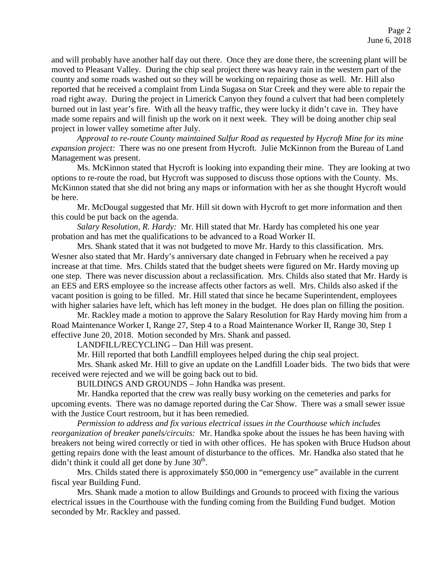and will probably have another half day out there. Once they are done there, the screening plant will be moved to Pleasant Valley. During the chip seal project there was heavy rain in the western part of the county and some roads washed out so they will be working on repairing those as well. Mr. Hill also reported that he received a complaint from Linda Sugasa on Star Creek and they were able to repair the road right away. During the project in Limerick Canyon they found a culvert that had been completely burned out in last year's fire. With all the heavy traffic, they were lucky it didn't cave in. They have made some repairs and will finish up the work on it next week. They will be doing another chip seal project in lower valley sometime after July.

*Approval to re-route County maintained Sulfur Road as requested by Hycroft Mine for its mine expansion project:* There was no one present from Hycroft. Julie McKinnon from the Bureau of Land Management was present.

Ms. McKinnon stated that Hycroft is looking into expanding their mine. They are looking at two options to re-route the road, but Hycroft was supposed to discuss those options with the County. Ms. McKinnon stated that she did not bring any maps or information with her as she thought Hycroft would be here.

Mr. McDougal suggested that Mr. Hill sit down with Hycroft to get more information and then this could be put back on the agenda.

*Salary Resolution, R. Hardy:* Mr. Hill stated that Mr. Hardy has completed his one year probation and has met the qualifications to be advanced to a Road Worker II.

Mrs. Shank stated that it was not budgeted to move Mr. Hardy to this classification. Mrs. Wesner also stated that Mr. Hardy's anniversary date changed in February when he received a pay increase at that time. Mrs. Childs stated that the budget sheets were figured on Mr. Hardy moving up one step. There was never discussion about a reclassification. Mrs. Childs also stated that Mr. Hardy is an EES and ERS employee so the increase affects other factors as well. Mrs. Childs also asked if the vacant position is going to be filled. Mr. Hill stated that since he became Superintendent, employees with higher salaries have left, which has left money in the budget. He does plan on filling the position.

Mr. Rackley made a motion to approve the Salary Resolution for Ray Hardy moving him from a Road Maintenance Worker I, Range 27, Step 4 to a Road Maintenance Worker II, Range 30, Step 1 effective June 20, 2018. Motion seconded by Mrs. Shank and passed.

LANDFILL/RECYCLING – Dan Hill was present.

Mr. Hill reported that both Landfill employees helped during the chip seal project.

Mrs. Shank asked Mr. Hill to give an update on the Landfill Loader bids. The two bids that were received were rejected and we will be going back out to bid.

BUILDINGS AND GROUNDS – John Handka was present.

Mr. Handka reported that the crew was really busy working on the cemeteries and parks for upcoming events. There was no damage reported during the Car Show. There was a small sewer issue with the Justice Court restroom, but it has been remedied.

*Permission to address and fix various electrical issues in the Courthouse which includes reorganization of breaker panels/circuits:* Mr. Handka spoke about the issues he has been having with breakers not being wired correctly or tied in with other offices. He has spoken with Bruce Hudson about getting repairs done with the least amount of disturbance to the offices. Mr. Handka also stated that he didn't think it could all get done by June  $30<sup>th</sup>$ .

Mrs. Childs stated there is approximately \$50,000 in "emergency use" available in the current fiscal year Building Fund.

Mrs. Shank made a motion to allow Buildings and Grounds to proceed with fixing the various electrical issues in the Courthouse with the funding coming from the Building Fund budget. Motion seconded by Mr. Rackley and passed.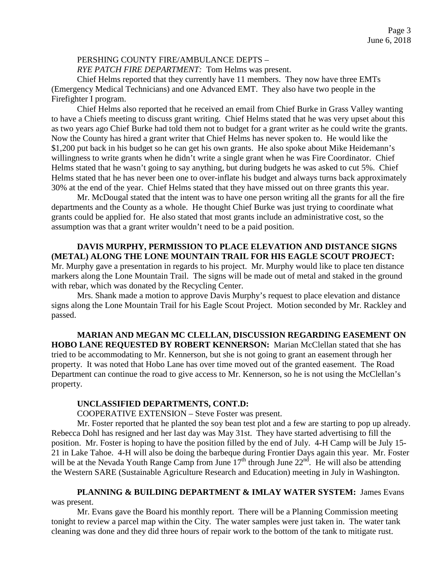# PERSHING COUNTY FIRE/AMBULANCE DEPTS –

*RYE PATCH FIRE DEPARTMENT:* Tom Helms was present.

Chief Helms reported that they currently have 11 members. They now have three EMTs (Emergency Medical Technicians) and one Advanced EMT. They also have two people in the Firefighter I program.

Chief Helms also reported that he received an email from Chief Burke in Grass Valley wanting to have a Chiefs meeting to discuss grant writing. Chief Helms stated that he was very upset about this as two years ago Chief Burke had told them not to budget for a grant writer as he could write the grants. Now the County has hired a grant writer that Chief Helms has never spoken to. He would like the \$1,200 put back in his budget so he can get his own grants. He also spoke about Mike Heidemann's willingness to write grants when he didn't write a single grant when he was Fire Coordinator. Chief Helms stated that he wasn't going to say anything, but during budgets he was asked to cut 5%. Chief Helms stated that he has never been one to over-inflate his budget and always turns back approximately 30% at the end of the year. Chief Helms stated that they have missed out on three grants this year.

Mr. McDougal stated that the intent was to have one person writing all the grants for all the fire departments and the County as a whole. He thought Chief Burke was just trying to coordinate what grants could be applied for. He also stated that most grants include an administrative cost, so the assumption was that a grant writer wouldn't need to be a paid position.

**DAVIS MURPHY, PERMISSION TO PLACE ELEVATION AND DISTANCE SIGNS (METAL) ALONG THE LONE MOUNTAIN TRAIL FOR HIS EAGLE SCOUT PROJECT:**  Mr. Murphy gave a presentation in regards to his project. Mr. Murphy would like to place ten distance markers along the Lone Mountain Trail. The signs will be made out of metal and staked in the ground with rebar, which was donated by the Recycling Center.

Mrs. Shank made a motion to approve Davis Murphy's request to place elevation and distance signs along the Lone Mountain Trail for his Eagle Scout Project. Motion seconded by Mr. Rackley and passed.

**MARIAN AND MEGAN MC CLELLAN, DISCUSSION REGARDING EASEMENT ON HOBO LANE REQUESTED BY ROBERT KENNERSON:** Marian McClellan stated that she has tried to be accommodating to Mr. Kennerson, but she is not going to grant an easement through her property. It was noted that Hobo Lane has over time moved out of the granted easement. The Road Department can continue the road to give access to Mr. Kennerson, so he is not using the McClellan's property.

#### **UNCLASSIFIED DEPARTMENTS, CONT.D:**

COOPERATIVE EXTENSION – Steve Foster was present.

Mr. Foster reported that he planted the soy bean test plot and a few are starting to pop up already. Rebecca Dohl has resigned and her last day was May 31st. They have started advertising to fill the position. Mr. Foster is hoping to have the position filled by the end of July. 4-H Camp will be July 15- 21 in Lake Tahoe. 4-H will also be doing the barbeque during Frontier Days again this year. Mr. Foster will be at the Nevada Youth Range Camp from June  $17<sup>th</sup>$  through June  $22<sup>nd</sup>$ . He will also be attending the Western SARE (Sustainable Agriculture Research and Education) meeting in July in Washington.

**PLANNING & BUILDING DEPARTMENT & IMLAY WATER SYSTEM:** James Evans was present.

Mr. Evans gave the Board his monthly report. There will be a Planning Commission meeting tonight to review a parcel map within the City. The water samples were just taken in. The water tank cleaning was done and they did three hours of repair work to the bottom of the tank to mitigate rust.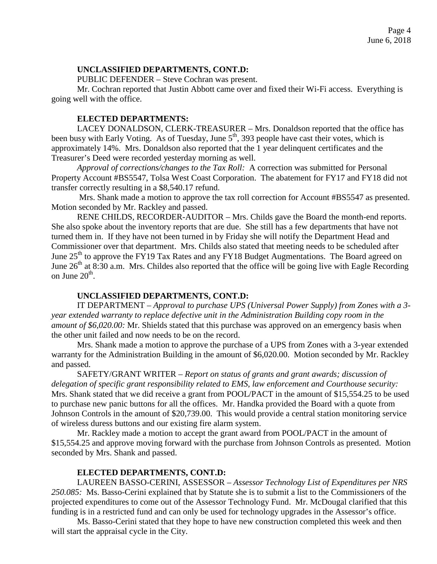# **UNCLASSIFIED DEPARTMENTS, CONT.D:**

PUBLIC DEFENDER – Steve Cochran was present.

Mr. Cochran reported that Justin Abbott came over and fixed their Wi-Fi access. Everything is going well with the office.

### **ELECTED DEPARTMENTS:**

LACEY DONALDSON, CLERK-TREASURER – Mrs. Donaldson reported that the office has been busy with Early Voting. As of Tuesday, June 5<sup>th</sup>, 393 people have cast their votes, which is approximately 14%. Mrs. Donaldson also reported that the 1 year delinquent certificates and the Treasurer's Deed were recorded yesterday morning as well.

*Approval of corrections/changes to the Tax Roll:* A correction was submitted for Personal Property Account #BS5547, Tolsa West Coast Corporation. The abatement for FY17 and FY18 did not transfer correctly resulting in a \$8,540.17 refund.

Mrs. Shank made a motion to approve the tax roll correction for Account #BS5547 as presented. Motion seconded by Mr. Rackley and passed.

RENE CHILDS, RECORDER-AUDITOR – Mrs. Childs gave the Board the month-end reports. She also spoke about the inventory reports that are due. She still has a few departments that have not turned them in. If they have not been turned in by Friday she will notify the Department Head and Commissioner over that department. Mrs. Childs also stated that meeting needs to be scheduled after June  $25<sup>th</sup>$  to approve the FY19 Tax Rates and any FY18 Budget Augmentations. The Board agreed on June  $26<sup>th</sup>$  at 8:30 a.m. Mrs. Childes also reported that the office will be going live with Eagle Recording on June  $20<sup>th</sup>$ .

# **UNCLASSIFIED DEPARTMENTS, CONT.D:**

IT DEPARTMENT – *Approval to purchase UPS (Universal Power Supply) from Zones with a 3 year extended warranty to replace defective unit in the Administration Building copy room in the amount of \$6,020.00:* Mr. Shields stated that this purchase was approved on an emergency basis when the other unit failed and now needs to be on the record.

Mrs. Shank made a motion to approve the purchase of a UPS from Zones with a 3-year extended warranty for the Administration Building in the amount of \$6,020.00. Motion seconded by Mr. Rackley and passed.

SAFETY/GRANT WRITER – *Report on status of grants and grant awards; discussion of delegation of specific grant responsibility related to EMS, law enforcement and Courthouse security:* Mrs. Shank stated that we did receive a grant from POOL/PACT in the amount of \$15,554.25 to be used to purchase new panic buttons for all the offices. Mr. Handka provided the Board with a quote from Johnson Controls in the amount of \$20,739.00. This would provide a central station monitoring service of wireless duress buttons and our existing fire alarm system.

Mr. Rackley made a motion to accept the grant award from POOL/PACT in the amount of \$15,554.25 and approve moving forward with the purchase from Johnson Controls as presented. Motion seconded by Mrs. Shank and passed.

# **ELECTED DEPARTMENTS, CONT.D:**

LAUREEN BASSO-CERINI, ASSESSOR – *Assessor Technology List of Expenditures per NRS 250.085:* Ms. Basso-Cerini explained that by Statute she is to submit a list to the Commissioners of the projected expenditures to come out of the Assessor Technology Fund. Mr. McDougal clarified that this funding is in a restricted fund and can only be used for technology upgrades in the Assessor's office.

Ms. Basso-Cerini stated that they hope to have new construction completed this week and then will start the appraisal cycle in the City.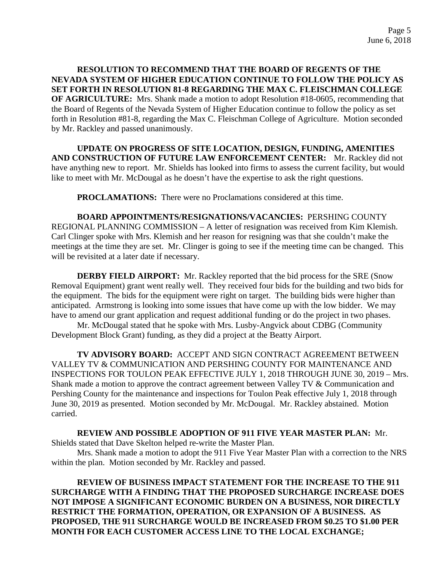**RESOLUTION TO RECOMMEND THAT THE BOARD OF REGENTS OF THE NEVADA SYSTEM OF HIGHER EDUCATION CONTINUE TO FOLLOW THE POLICY AS SET FORTH IN RESOLUTION 81-8 REGARDING THE MAX C. FLEISCHMAN COLLEGE OF AGRICULTURE:** Mrs. Shank made a motion to adopt Resolution #18-0605, recommending that the Board of Regents of the Nevada System of Higher Education continue to follow the policy as set forth in Resolution #81-8, regarding the Max C. Fleischman College of Agriculture. Motion seconded by Mr. Rackley and passed unanimously.

**UPDATE ON PROGRESS OF SITE LOCATION, DESIGN, FUNDING, AMENITIES AND CONSTRUCTION OF FUTURE LAW ENFORCEMENT CENTER:** Mr. Rackley did not have anything new to report. Mr. Shields has looked into firms to assess the current facility, but would like to meet with Mr. McDougal as he doesn't have the expertise to ask the right questions.

**PROCLAMATIONS:** There were no Proclamations considered at this time.

**BOARD APPOINTMENTS/RESIGNATIONS/VACANCIES:** PERSHING COUNTY REGIONAL PLANNING COMMISSION – A letter of resignation was received from Kim Klemish. Carl Clinger spoke with Mrs. Klemish and her reason for resigning was that she couldn't make the meetings at the time they are set. Mr. Clinger is going to see if the meeting time can be changed. This will be revisited at a later date if necessary.

**DERBY FIELD AIRPORT:** Mr. Rackley reported that the bid process for the SRE (Snow Removal Equipment) grant went really well. They received four bids for the building and two bids for the equipment. The bids for the equipment were right on target. The building bids were higher than anticipated. Armstrong is looking into some issues that have come up with the low bidder. We may have to amend our grant application and request additional funding or do the project in two phases.

Mr. McDougal stated that he spoke with Mrs. Lusby-Angvick about CDBG (Community Development Block Grant) funding, as they did a project at the Beatty Airport.

**TV ADVISORY BOARD:** ACCEPT AND SIGN CONTRACT AGREEMENT BETWEEN VALLEY TV & COMMUNICATION AND PERSHING COUNTY FOR MAINTENANCE AND INSPECTIONS FOR TOULON PEAK EFFECTIVE JULY 1, 2018 THROUGH JUNE 30, 2019 – Mrs. Shank made a motion to approve the contract agreement between Valley TV & Communication and Pershing County for the maintenance and inspections for Toulon Peak effective July 1, 2018 through June 30, 2019 as presented. Motion seconded by Mr. McDougal. Mr. Rackley abstained. Motion carried.

#### **REVIEW AND POSSIBLE ADOPTION OF 911 FIVE YEAR MASTER PLAN:** Mr.

Shields stated that Dave Skelton helped re-write the Master Plan.

Mrs. Shank made a motion to adopt the 911 Five Year Master Plan with a correction to the NRS within the plan. Motion seconded by Mr. Rackley and passed.

**REVIEW OF BUSINESS IMPACT STATEMENT FOR THE INCREASE TO THE 911 SURCHARGE WITH A FINDING THAT THE PROPOSED SURCHARGE INCREASE DOES NOT IMPOSE A SIGNIFICANT ECONOMIC BURDEN ON A BUSINESS, NOR DIRECTLY RESTRICT THE FORMATION, OPERATION, OR EXPANSION OF A BUSINESS. AS PROPOSED, THE 911 SURCHARGE WOULD BE INCREASED FROM \$0.25 TO \$1.00 PER MONTH FOR EACH CUSTOMER ACCESS LINE TO THE LOCAL EXCHANGE;**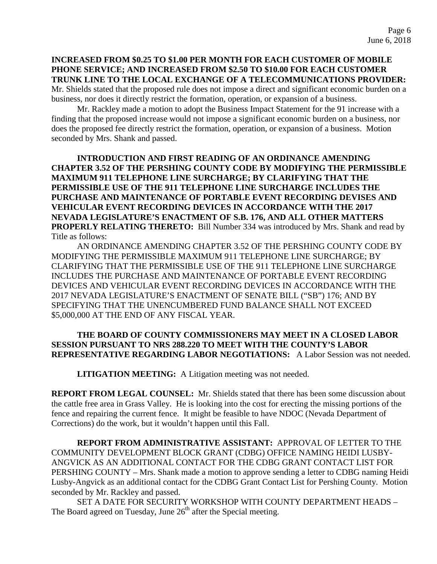**INCREASED FROM \$0.25 TO \$1.00 PER MONTH FOR EACH CUSTOMER OF MOBILE PHONE SERVICE; AND INCREASED FROM \$2.50 TO \$10.00 FOR EACH CUSTOMER TRUNK LINE TO THE LOCAL EXCHANGE OF A TELECOMMUNICATIONS PROVIDER:**  Mr. Shields stated that the proposed rule does not impose a direct and significant economic burden on a business, nor does it directly restrict the formation, operation, or expansion of a business.

Mr. Rackley made a motion to adopt the Business Impact Statement for the 91 increase with a finding that the proposed increase would not impose a significant economic burden on a business, nor does the proposed fee directly restrict the formation, operation, or expansion of a business. Motion seconded by Mrs. Shank and passed.

**INTRODUCTION AND FIRST READING OF AN ORDINANCE AMENDING CHAPTER 3.52 OF THE PERSHING COUNTY CODE BY MODIFYING THE PERMISSIBLE MAXIMUM 911 TELEPHONE LINE SURCHARGE; BY CLARIFYING THAT THE PERMISSIBLE USE OF THE 911 TELEPHONE LINE SURCHARGE INCLUDES THE PURCHASE AND MAINTENANCE OF PORTABLE EVENT RECORDING DEVISES AND VEHICULAR EVENT RECORDING DEVICES IN ACCORDANCE WITH THE 2017 NEVADA LEGISLATURE'S ENACTMENT OF S.B. 176, AND ALL OTHER MATTERS PROPERLY RELATING THERETO:** Bill Number 334 was introduced by Mrs. Shank and read by Title as follows:

AN ORDINANCE AMENDING CHAPTER 3.52 OF THE PERSHING COUNTY CODE BY MODIFYING THE PERMISSIBLE MAXIMUM 911 TELEPHONE LINE SURCHARGE; BY CLARIFYING THAT THE PERMISSIBLE USE OF THE 911 TELEPHONE LINE SURCHARGE INCLUDES THE PURCHASE AND MAINTENANCE OF PORTABLE EVENT RECORDING DEVICES AND VEHICULAR EVENT RECORDING DEVICES IN ACCORDANCE WITH THE 2017 NEVADA LEGISLATURE'S ENACTMENT OF SENATE BILL ("SB") 176; AND BY SPECIFYING THAT THE UNENCUMBERED FUND BALANCE SHALL NOT EXCEED \$5,000,000 AT THE END OF ANY FISCAL YEAR.

# **THE BOARD OF COUNTY COMMISSIONERS MAY MEET IN A CLOSED LABOR SESSION PURSUANT TO NRS 288.220 TO MEET WITH THE COUNTY'S LABOR REPRESENTATIVE REGARDING LABOR NEGOTIATIONS:** A Labor Session was not needed.

**LITIGATION MEETING:** A Litigation meeting was not needed.

**REPORT FROM LEGAL COUNSEL:** Mr. Shields stated that there has been some discussion about the cattle free area in Grass Valley. He is looking into the cost for erecting the missing portions of the fence and repairing the current fence. It might be feasible to have NDOC (Nevada Department of Corrections) do the work, but it wouldn't happen until this Fall.

**REPORT FROM ADMINISTRATIVE ASSISTANT:** APPROVAL OF LETTER TO THE COMMUNITY DEVELOPMENT BLOCK GRANT (CDBG) OFFICE NAMING HEIDI LUSBY-ANGVICK AS AN ADDITIONAL CONTACT FOR THE CDBG GRANT CONTACT LIST FOR PERSHING COUNTY – Mrs. Shank made a motion to approve sending a letter to CDBG naming Heidi Lusby-Angvick as an additional contact for the CDBG Grant Contact List for Pershing County. Motion seconded by Mr. Rackley and passed.

SET A DATE FOR SECURITY WORKSHOP WITH COUNTY DEPARTMENT HEADS – The Board agreed on Tuesday, June  $26<sup>th</sup>$  after the Special meeting.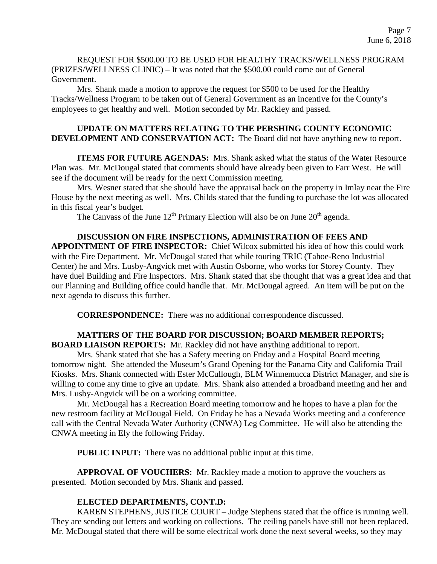REQUEST FOR \$500.00 TO BE USED FOR HEALTHY TRACKS/WELLNESS PROGRAM (PRIZES/WELLNESS CLINIC) – It was noted that the \$500.00 could come out of General Government.

Mrs. Shank made a motion to approve the request for \$500 to be used for the Healthy Tracks/Wellness Program to be taken out of General Government as an incentive for the County's employees to get healthy and well. Motion seconded by Mr. Rackley and passed.

### **UPDATE ON MATTERS RELATING TO THE PERSHING COUNTY ECONOMIC DEVELOPMENT AND CONSERVATION ACT:** The Board did not have anything new to report.

**ITEMS FOR FUTURE AGENDAS:** Mrs. Shank asked what the status of the Water Resource Plan was. Mr. McDougal stated that comments should have already been given to Farr West. He will see if the document will be ready for the next Commission meeting.

Mrs. Wesner stated that she should have the appraisal back on the property in Imlay near the Fire House by the next meeting as well. Mrs. Childs stated that the funding to purchase the lot was allocated in this fiscal year's budget.

The Canvass of the June  $12^{th}$  Primary Election will also be on June  $20^{th}$  agenda.

# **DISCUSSION ON FIRE INSPECTIONS, ADMINISTRATION OF FEES AND**

**APPOINTMENT OF FIRE INSPECTOR:** Chief Wilcox submitted his idea of how this could work with the Fire Department. Mr. McDougal stated that while touring TRIC (Tahoe-Reno Industrial Center) he and Mrs. Lusby-Angvick met with Austin Osborne, who works for Storey County. They have duel Building and Fire Inspectors. Mrs. Shank stated that she thought that was a great idea and that our Planning and Building office could handle that. Mr. McDougal agreed. An item will be put on the next agenda to discuss this further.

**CORRESPONDENCE:** There was no additional correspondence discussed.

#### **MATTERS OF THE BOARD FOR DISCUSSION; BOARD MEMBER REPORTS; BOARD LIAISON REPORTS:** Mr. Rackley did not have anything additional to report.

Mrs. Shank stated that she has a Safety meeting on Friday and a Hospital Board meeting tomorrow night. She attended the Museum's Grand Opening for the Panama City and California Trail Kiosks. Mrs. Shank connected with Ester McCullough, BLM Winnemucca District Manager, and she is willing to come any time to give an update. Mrs. Shank also attended a broadband meeting and her and Mrs. Lusby-Angvick will be on a working committee.

Mr. McDougal has a Recreation Board meeting tomorrow and he hopes to have a plan for the new restroom facility at McDougal Field. On Friday he has a Nevada Works meeting and a conference call with the Central Nevada Water Authority (CNWA) Leg Committee. He will also be attending the CNWA meeting in Ely the following Friday.

**PUBLIC INPUT:** There was no additional public input at this time.

**APPROVAL OF VOUCHERS:** Mr. Rackley made a motion to approve the vouchers as presented. Motion seconded by Mrs. Shank and passed.

# **ELECTED DEPARTMENTS, CONT.D:**

KAREN STEPHENS, JUSTICE COURT – Judge Stephens stated that the office is running well. They are sending out letters and working on collections. The ceiling panels have still not been replaced. Mr. McDougal stated that there will be some electrical work done the next several weeks, so they may